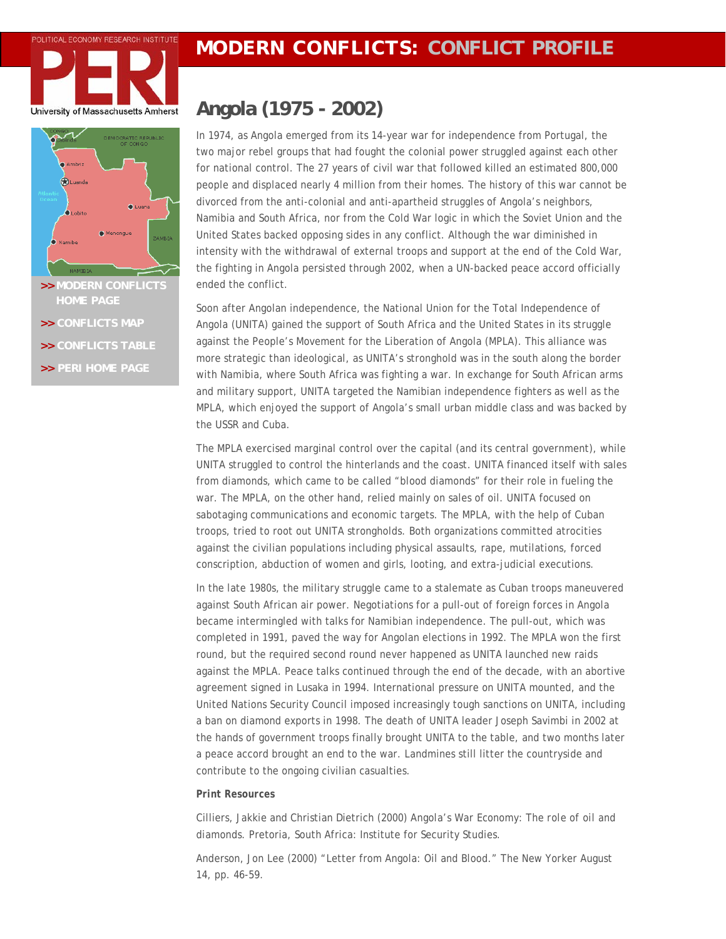





- >> [MODERN CONFLICTS](http://www.peri.umass.edu/index.php?id=396) ended the conflict.
- **>> [CONFLICTS MAP](http://www.peri.umass.edu/fileadmin/pdf/dpe/modern_conflicts/conflicts_map.pdf)**
- **>> [CONFLICTS TABLE](http://www.peri.umass.edu/fileadmin/pdf/dpe/modern_conflicts/conflicts_table.pdf)**
- **>> [PERI HOME PAGE](http://www.peri.umass.edu/)**

## **Angola (1975 - 2002)**

In 1974, as Angola emerged from its 14-year war for independence from Portugal, the two major rebel groups that had fought the colonial power struggled against each other for national control. The 27 years of civil war that followed killed an estimated 800,000 people and displaced nearly 4 million from their homes. The history of this war cannot be divorced from the anti-colonial and anti-apartheid struggles of Angola's neighbors, Namibia and South Africa, nor from the Cold War logic in which the Soviet Union and the United States backed opposing sides in any conflict. Although the war diminished in intensity with the withdrawal of external troops and support at the end of the Cold War, the fighting in Angola persisted through 2002, when a UN-backed peace accord officially

Soon after Angolan independence, the National Union for the Total Independence of Angola (UNITA) gained the support of South Africa and the United States in its struggle against the People's Movement for the Liberation of Angola (MPLA). This alliance was more strategic than ideological, as UNITA's stronghold was in the south along the border with Namibia, where South Africa was fighting a war. In exchange for South African arms and military support, UNITA targeted the Namibian independence fighters as well as the MPLA, which enjoyed the support of Angola's small urban middle class and was backed by the USSR and Cuba.

The MPLA exercised marginal control over the capital (and its central government), while UNITA struggled to control the hinterlands and the coast. UNITA financed itself with sales from diamonds, which came to be called "blood diamonds" for their role in fueling the war. The MPLA, on the other hand, relied mainly on sales of oil. UNITA focused on sabotaging communications and economic targets. The MPLA, with the help of Cuban troops, tried to root out UNITA strongholds. Both organizations committed atrocities against the civilian populations including physical assaults, rape, mutilations, forced conscription, abduction of women and girls, looting, and extra-judicial executions.

In the late 1980s, the military struggle came to a stalemate as Cuban troops maneuvered against South African air power. Negotiations for a pull-out of foreign forces in Angola became intermingled with talks for Namibian independence. The pull-out, which was completed in 1991, paved the way for Angolan elections in 1992. The MPLA won the first round, but the required second round never happened as UNITA launched new raids against the MPLA. Peace talks continued through the end of the decade, with an abortive agreement signed in Lusaka in 1994. International pressure on UNITA mounted, and the United Nations Security Council imposed increasingly tough sanctions on UNITA, including a ban on diamond exports in 1998. The death of UNITA leader Joseph Savimbi in 2002 at the hands of government troops finally brought UNITA to the table, and two months later a peace accord brought an end to the war. Landmines still litter the countryside and contribute to the ongoing civilian casualties.

## *Print Resources*

Cilliers, Jakkie and Christian Dietrich (2000) *Angola's War Economy: The role of oil and diamonds.* Pretoria, South Africa: Institute for Security Studies.

Anderson, Jon Lee (2000) "Letter from Angola: Oil and Blood." *The New Yorker* August 14, pp. 46-59.